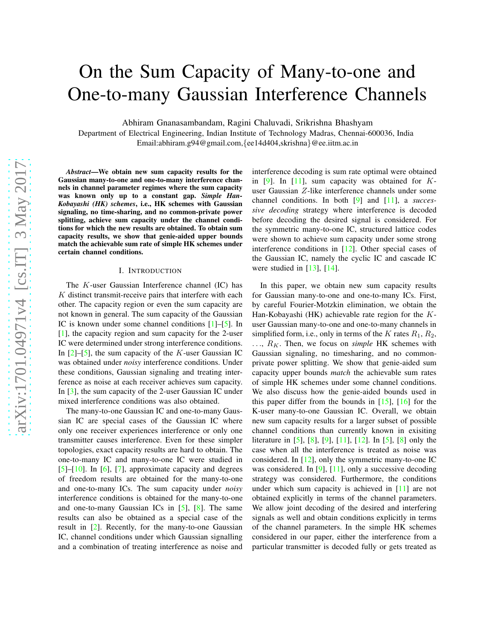# On the Sum Capacity of Many-to-one and One-to-many Gaussian Interference Channels

Abhiram Gnanasambandam, Ragini Chaluvadi, Srikrishna Bhashyam

Department of Electrical Engineering, Indian Institute of Technology Madras, Chennai-600036, India Email:abhiram.g94@gmail.com,{ee14d404,skrishna}@ee.iitm.ac.in

*Abstract*—We obtain new sum capacity results for the Gaussian many-to-one and one-to-many interference channels in channel parameter regimes where the sum capacity was known only up to a constant gap. *Simple Han-Kobayashi (HK) schemes*, i.e., HK schemes with Gaussian signaling, no time-sharing, and no common-private power splitting, achieve sum capacity under the channel conditions for which the new results are obtained. To obtain sum capacity results, we show that genie-aided upper bounds match the achievable sum rate of simple HK schemes under certain channel conditions.

# I. INTRODUCTION

The K-user Gaussian Interference channel (IC) has  $K$  distinct transmit-receive pairs that interfere with each other. The capacity region or even the sum capacity are not known in general. The sum capacity of the Gaussian IC is known under some channel conditions [\[1\]](#page-6-0)–[\[5\]](#page-6-1). In [\[1\]](#page-6-0), the capacity region and sum capacity for the 2-user IC were determined under strong interference conditions. In  $[2]-[5]$  $[2]-[5]$ , the sum capacity of the K-user Gaussian IC was obtained under *noisy* interference conditions. Under these conditions, Gaussian signaling and treating interference as noise at each receiver achieves sum capacity. In [\[3\]](#page-6-3), the sum capacity of the 2-user Gaussian IC under mixed interference conditions was also obtained.

The many-to-one Gaussian IC and one-to-many Gaussian IC are special cases of the Gaussian IC where only one receiver experiences interference or only one transmitter causes interference. Even for these simpler topologies, exact capacity results are hard to obtain. The one-to-many IC and many-to-one IC were studied in  $[5]$ – $[10]$ . In  $[6]$ ,  $[7]$ , approximate capacity and degrees of freedom results are obtained for the many-to-one and one-to-many ICs. The sum capacity under *noisy* interference conditions is obtained for the many-to-one and one-to-many Gaussian ICs in  $[5]$ ,  $[8]$ . The same results can also be obtained as a special case of the result in [\[2\]](#page-6-2). Recently, for the many-to-one Gaussian IC, channel conditions under which Gaussian signalling and a combination of treating interference as noise and interference decoding is sum rate optimal were obtained in  $[9]$ . In  $[11]$ , sum capacity was obtained for Kuser Gaussian Z-like interference channels under some channel conditions. In both [\[9\]](#page-6-8) and [\[11\]](#page-6-9), a *successive decoding* strategy where interference is decoded before decoding the desired signal is considered. For the symmetric many-to-one IC, structured lattice codes were shown to achieve sum capacity under some strong interference conditions in [\[12\]](#page-6-10). Other special cases of the Gaussian IC, namely the cyclic IC and cascade IC were studied in  $[13]$ ,  $[14]$ .

In this paper, we obtain new sum capacity results for Gaussian many-to-one and one-to-many ICs. First, by careful Fourier-Motzkin elimination, we obtain the Han-Kobayashi (HK) achievable rate region for the  $K$ user Gaussian many-to-one and one-to-many channels in simplified form, i.e., only in terms of the K rates  $R_1, R_2$ ,  $\ldots$ ,  $R_K$ . Then, we focus on *simple* HK schemes with Gaussian signaling, no timesharing, and no commonprivate power splitting. We show that genie-aided sum capacity upper bounds *match* the achievable sum rates of simple HK schemes under some channel conditions. We also discuss how the genie-aided bounds used in this paper differ from the bounds in  $[15]$ ,  $[16]$  for the K-user many-to-one Gaussian IC. Overall, we obtain new sum capacity results for a larger subset of possible channel conditions than currently known in exisiting literature in [\[5\]](#page-6-1), [\[8\]](#page-6-7), [\[9\]](#page-6-8), [\[11\]](#page-6-9), [\[12\]](#page-6-10). In [\[5\]](#page-6-1), [\[8\]](#page-6-7) only the case when all the interference is treated as noise was considered. In [\[12\]](#page-6-10), only the symmetric many-to-one IC was considered. In [\[9\]](#page-6-8),  $[11]$ , only a successive decoding strategy was considered. Furthermore, the conditions under which sum capacity is achieved in [\[11\]](#page-6-9) are not obtained explicitly in terms of the channel parameters. We allow joint decoding of the desired and interfering signals as well and obtain conditions explicitly in terms of the channel parameters. In the simple HK schemes considered in our paper, either the interference from a particular transmitter is decoded fully or gets treated as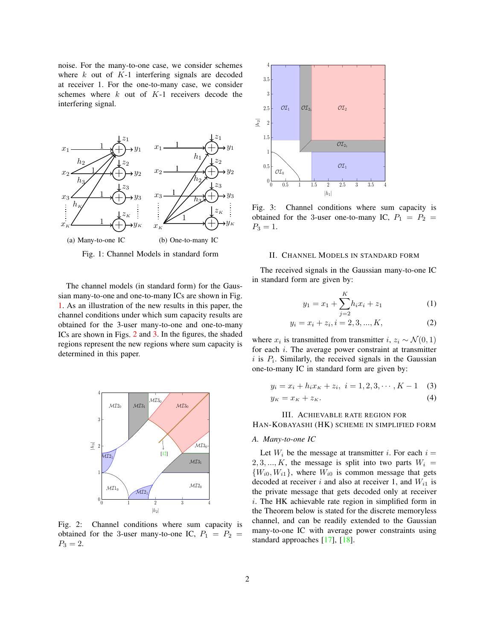noise. For the many-to-one case, we consider schemes where  $k$  out of  $K-1$  interfering signals are decoded at receiver 1. For the one-to-many case, we consider schemes where  $k$  out of  $K-1$  receivers decode the interfering signal.

<span id="page-1-0"></span>

Fig. 1: Channel Models in standard form

The channel models (in standard form) for the Gaussian many-to-one and one-to-many ICs are shown in Fig. [1.](#page-1-0) As an illustration of the new results in this paper, the channel conditions under which sum capacity results are obtained for the 3-user many-to-one and one-to-many ICs are shown in Figs. [2](#page-1-1) and [3.](#page-1-2) In the figures, the shaded regions represent the new regions where sum capacity is determined in this paper.

<span id="page-1-1"></span>

Fig. 2: Channel conditions where sum capacity is obtained for the 3-user many-to-one IC,  $P_1 = P_2$  $P_3 = 2.$ 

<span id="page-1-2"></span>

Fig. 3: Channel conditions where sum capacity is obtained for the 3-user one-to-many IC,  $P_1 = P_2$  =  $P_3 = 1.$ 

#### II. CHANNEL MODELS IN STANDARD FORM

The received signals in the Gaussian many-to-one IC in standard form are given by:

<span id="page-1-3"></span>
$$
y_1 = x_1 + \sum_{j=2}^{K} h_i x_i + z_1 \tag{1}
$$

$$
y_i = x_i + z_i, i = 2, 3, ..., K,
$$
 (2)

where  $x_i$  is transmitted from transmitter  $i, z_i \sim \mathcal{N}(0, 1)$ for each i. The average power constraint at transmitter i is  $P_i$ . Similarly, the received signals in the Gaussian one-to-many IC in standard form are given by:

$$
y_i = x_i + h_i x_K + z_i, \ i = 1, 2, 3, \cdots, K - 1 \quad (3)
$$
  

$$
y_K = x_K + z_K. \tag{4}
$$

# III. ACHIEVABLE RATE REGION FOR

HAN-KOBAYASHI (HK) SCHEME IN SIMPLIFIED FORM

# *A. Many-to-one IC*

Let  $W_i$  be the message at transmitter i. For each  $i =$  $2, 3, \ldots, K$ , the message is split into two parts  $W_i =$  ${W_{i0}, W_{i1}}$ , where  $W_{i0}$  is common message that gets decoded at receiver i and also at receiver 1, and  $W_{i1}$  is the private message that gets decoded only at receiver i. The HK achievable rate region in simplified form in the Theorem below is stated for the discrete memoryless channel, and can be readily extended to the Gaussian many-to-one IC with average power constraints using standard approaches [\[17\]](#page-6-15), [\[18\]](#page-6-16).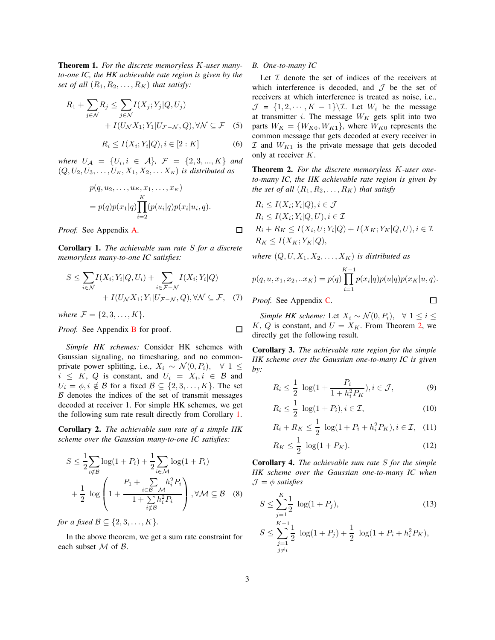<span id="page-2-9"></span>Theorem 1. *For the discrete memoryless* K*-user manyto-one IC, the HK achievable rate region is given by the set of all*  $(R_1, R_2, \ldots, R_K)$  *that satisfy:* 

$$
R_1 + \sum_{j \in \mathcal{N}} R_j \le \sum_{j \in \mathcal{N}} I(X_j; Y_j | Q, U_j)
$$
  
+  $I(U_{\mathcal{N}} X_1; Y_1 | U_{\mathcal{F} - \mathcal{N}}, Q), \forall \mathcal{N} \subseteq \mathcal{F}$  (5)

<span id="page-2-11"></span>
$$
R_i \le I(X_i; Y_i | Q), i \in [2:K]
$$
 (6)

 $where U_A = \{U_i, i \in A\}, \mathcal{F} = \{2, 3, ..., K\}$  and  $(Q, U_2, U_3, \ldots, U_K, X_1, X_2, \ldots, X_K)$  *is distributed as* 

$$
p(q, u_2, \dots, u_K, x_1, \dots, x_K)
$$
  
=  $p(q)p(x_1|q)\prod_{i=2}^K(p(u_i|q)p(x_i|u_i, q).$ 

*Proof.* See Appendix [A.](#page-6-17)

<span id="page-2-0"></span>Corollary 1. *The achievable sum rate* S *for a discrete memoryless many-to-one IC satisfies:*

$$
S \leq \sum_{i \in \mathcal{N}} I(X_i; Y_i | Q, U_i) + \sum_{i \in \mathcal{F} - \mathcal{N}} I(X_i; Y_i | Q) + I(U_{\mathcal{N}} X_1; Y_1 | U_{\mathcal{F} - \mathcal{N}}, Q), \forall \mathcal{N} \subseteq \mathcal{F}, \quad (7)
$$

*where*  $F = \{2, 3, ..., K\}$ .

*Proof.* See Appendix **[B](#page-7-0)** for proof.  $\Box$ 

*Simple HK schemes:* Consider HK schemes with Gaussian signaling, no timesharing, and no commonprivate power splitting, i.e.,  $X_i \sim \mathcal{N}(0, P_i)$ , ∀ 1 ≤  $i \leq K$ , Q is constant, and  $U_i = X_i, i \in \mathcal{B}$  and  $U_i = \phi, i \notin \mathcal{B}$  for a fixed  $\mathcal{B} \subseteq \{2, 3, \ldots, K\}$ . The set  $B$  denotes the indices of the set of transmit messages decoded at receiver 1. For simple HK schemes, we get the following sum rate result directly from Corollary [1.](#page-2-0)

Corollary 2. *The achievable sum rate of a simple HK scheme over the Gaussian many-to-one IC satisfies:*

$$
S \leq \frac{1}{2} \sum_{i \notin \mathcal{B}} \log(1 + P_i) + \frac{1}{2} \sum_{i \in \mathcal{M}} \log(1 + P_i)
$$
  
+ 
$$
\frac{1}{2} \log \left( 1 + \frac{P_1 + \sum_{i \in \mathcal{B} - \mathcal{M}} h_i^2 P_i}{1 + \sum_{i \notin \mathcal{B}} h_i^2 P_i} \right), \forall \mathcal{M} \subseteq \mathcal{B} \quad (8)
$$

*for a fixed*  $\mathcal{B} \subseteq \{2, 3, \ldots, K\}.$ 

In the above theorem, we get a sum rate constraint for each subset M of B.

# *B. One-to-many IC*

<span id="page-2-10"></span>Let  $I$  denote the set of indices of the receivers at which interference is decoded, and  $J$  be the set of receivers at which interference is treated as noise, i.e.,  $\mathcal{J} = \{1, 2, \dots, K - 1\} \backslash \mathcal{I}$ . Let  $W_i$  be the message at transmitter *i*. The message  $W_K$  gets split into two parts  $W_K = \{W_{K0}, W_{K1}\}\$ , where  $W_{K0}$  represents the common message that gets decoded at every receiver in  $I$  and  $W_{K1}$  is the private message that gets decoded only at receiver K.

<span id="page-2-1"></span>Theorem 2. *For the discrete memoryless* K*-user oneto-many IC, the HK achievable rate region is given by the set of all*  $(R_1, R_2, \ldots, R_K)$  *that satisfy* 

$$
R_i \leq I(X_i; Y_i|Q), i \in \mathcal{J}
$$
  
\n
$$
R_i \leq I(X_i; Y_i|Q, U), i \in \mathcal{I}
$$
  
\n
$$
R_i + R_K \leq I(X_i, U; Y_i|Q) + I(X_K; Y_K|Q, U), i \in \mathcal{I}
$$
  
\n
$$
R_K \leq I(X_K; Y_K|Q),
$$

where 
$$
(Q, U, X_1, X_2, \ldots, X_K)
$$
 is distributed as

$$
p(q, u, x_1, x_2, ... x_K) = p(q) \prod_{i=1}^{K-1} p(x_i|q) p(u|q) p(x_K|u, q).
$$

<span id="page-2-7"></span><span id="page-2-6"></span><span id="page-2-5"></span><span id="page-2-4"></span>□

<span id="page-2-12"></span>*Proof.* See Appendix [C.](#page-7-1)

 $\Box$ 

*Simple HK scheme:* Let  $X_i \sim \mathcal{N}(0, P_i)$ ,  $\forall$  1 ≤ *i* ≤ K, Q is constant, and  $U = X_K$ . From Theorem [2,](#page-2-1) we directly get the following result.

<span id="page-2-3"></span>Corollary 3. *The achievable rate region for the simple HK scheme over the Gaussian one-to-many IC is given by:*

$$
R_i \le \frac{1}{2} \log(1 + \frac{P_i}{1 + h_i^2 P_K}), i \in \mathcal{J},
$$
 (9)

$$
R_i \le \frac{1}{2} \log(1 + P_i), i \in \mathcal{I},\tag{10}
$$

$$
R_i + R_K \le \frac{1}{2} \log(1 + P_i + h_i^2 P_K), i \in \mathcal{I}, \quad (11)
$$

<span id="page-2-13"></span>
$$
R_K \le \frac{1}{2} \, \log(1 + P_K). \tag{12}
$$

<span id="page-2-8"></span>Corollary 4. *The achievable sum rate* S *for the simple HK scheme over the Gaussian one-to-many IC when*  $\mathcal{J} = \phi$  *satisfies* 

<span id="page-2-2"></span>
$$
S \le \sum_{j=1}^{K} \frac{1}{2} \log(1 + P_j),
$$
\n
$$
S \le \sum_{j=1}^{K-1} \frac{1}{2} \log(1 + P_j) + \frac{1}{2} \log(1 + P_i + h_i^2 P_K),
$$
\n
$$
j \ne i
$$
\n(13)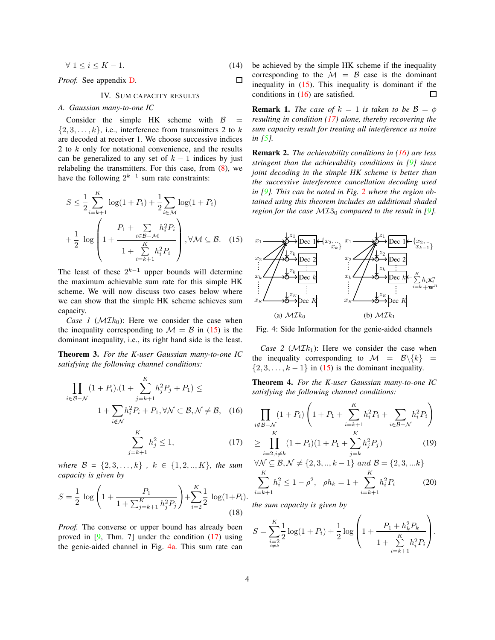$$
\forall 1 \le i \le K - 1. \tag{14}
$$

<span id="page-3-8"></span> $\Box$ 

*Proof.* See appendix [D.](#page-7-2)

## IV. SUM CAPACITY RESULTS

# *A. Gaussian many-to-one IC*

Consider the simple HK scheme with  $\beta$  =  $\{2, 3, \ldots, k\}$ , i.e., interference from transmitters 2 to k are decoded at receiver 1. We choose successive indices 2 to k only for notational convenience, and the results can be generalized to any set of  $k - 1$  indices by just relabeling the transmitters. For this case, from [\(8\)](#page-2-2), we have the following  $2^{k-1}$  sum rate constraints:

$$
S \leq \frac{1}{2} \sum_{i=k+1}^{K} \log(1 + P_i) + \frac{1}{2} \sum_{i \in \mathcal{M}} \log(1 + P_i)
$$
  
+ 
$$
\frac{1}{2} \log \left( 1 + \frac{P_1 + \sum_{i \in \mathcal{B} - \mathcal{M}} h_i^2 P_i}{1 + \sum_{i=k+1}^{K} h_i^2 P_i} \right), \forall \mathcal{M} \subseteq \mathcal{B}. \quad (15)
$$

The least of these  $2^{k-1}$  upper bounds will determine the maximum achievable sum rate for this simple HK scheme. We will now discuss two cases below where we can show that the simple HK scheme achieves sum capacity.

*Case 1* ( $\mathcal{M} \mathcal{I} k_0$ ): Here we consider the case when the inequality corresponding to  $\mathcal{M} = \mathcal{B}$  in [\(15\)](#page-3-0) is the dominant inequality, i.e., its right hand side is the least.

<span id="page-3-5"></span>Theorem 3. *For the K-user Gaussian many-to-one IC satisfying the following channel conditions:*

$$
\prod_{i \in \mathcal{B}-\mathcal{N}} (1+P_i) \cdot (1+\sum_{j=k+1}^K h_j^2 P_j + P_1) \le
$$
\n
$$
1 + \sum_{i \notin \mathcal{N}} h_i^2 P_i + P_1, \forall \mathcal{N} \subset \mathcal{B}, \mathcal{N} \neq \mathcal{B}, \quad (16)
$$

<span id="page-3-1"></span>
$$
\sum_{j=k+1}^{K} h_j^2 \le 1,
$$
\n(17)

*where*  $\mathcal{B} = \{2, 3, ..., k\}$ ,  $k \in \{1, 2, ..., K\}$ , the sum *capacity is given by*

$$
S = \frac{1}{2} \log \left( 1 + \frac{P_1}{1 + \sum_{j=k+1}^{K} h_j^2 P_j} \right) + \sum_{i=2}^{K} \frac{1}{2} \log(1 + P_i).
$$
\n(18)

*Proof.* The converse or upper bound has already been proved in [\[9,](#page-6-8) Thm. 7] under the condition [\(17\)](#page-3-1) using the genie-aided channel in Fig. [4a.](#page-3-2) This sum rate can

be achieved by the simple HK scheme if the inequality corresponding to the  $\mathcal{M} = \mathcal{B}$  case is the dominant inequality in  $(15)$ . This inequality is dominant if the conditions in [\(16\)](#page-3-3) are satisfied.  $\Box$ 

**Remark 1.** *The case of*  $k = 1$  *is taken to be*  $\mathcal{B} = \phi$ *resulting in condition [\(17\)](#page-3-1) alone, thereby recovering the sum capacity result for treating all interference as noise in [\[5\]](#page-6-1).*

Remark 2. *The achievability conditions in [\(16\)](#page-3-3) are less stringent than the achievability conditions in [\[9\]](#page-6-8) since joint decoding in the simple HK scheme is better than the successive interference cancellation decoding used in [\[9\]](#page-6-8). This can be noted in Fig. [2](#page-1-1) where the region obtained using this theorem includes an additional shaded region for the case*  $MT3<sub>0</sub>$  *compared to the result in [\[9\]](#page-6-8)*.

<span id="page-3-2"></span><span id="page-3-0"></span>

Fig. 4: Side Information for the genie-aided channels

*Case 2 (* $MIk_1$ *):* Here we consider the case when the inequality corresponding to  $\mathcal{M} = \mathcal{B}\backslash\{k\}$  $\{2, 3, \ldots, k-1\}$  in [\(15\)](#page-3-0) is the dominant inequality.

<span id="page-3-6"></span>Theorem 4. *For the K-user Gaussian many-to-one IC satisfying the following channel conditions:*

<span id="page-3-3"></span>
$$
\prod_{i \notin \mathcal{B}-\mathcal{N}} (1+P_i) \left( 1 + P_1 + \sum_{i=k+1}^{K} h_i^2 P_i + \sum_{i \in \mathcal{B}-\mathcal{N}} h_i^2 P_i \right)
$$
\n
$$
\geq \prod_{i=2, i \neq k}^{K} (1+P_i) (1+P_1 + \sum_{j=k}^{K} h_j^2 P_j) \tag{19}
$$
\n
$$
\forall \mathcal{N} \subset \mathcal{B}, \mathcal{N} \neq \{2, 3, k-1\} \text{ and } \mathcal{B} = \{2, 3, k\}
$$

<span id="page-3-7"></span><span id="page-3-4"></span>
$$
\forall \mathcal{N} \subseteq \mathcal{B}, \mathcal{N} \neq \{2, 3, ..., k - 1\} \text{ and } \mathcal{B} = \{2, 3, ...k\}
$$

$$
\sum_{i=k+1}^{K} h_i^2 \le 1 - \rho^2, \quad \rho h_k = 1 + \sum_{i=k+1}^{K} h_i^2 P_i \tag{20}
$$

*the sum capacity is given by*

$$
S = \sum_{\substack{i=2 \\ i \neq k}}^{K} \frac{1}{2} \log(1+P_i) + \frac{1}{2} \log \left(1 + \frac{P_1 + h_k^2 P_k}{1 + \sum_{i=k+1}^{K} h_i^2 P_i}\right).
$$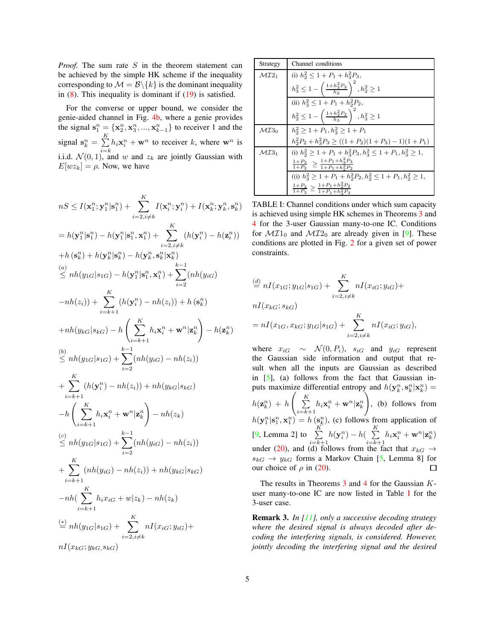*Proof.* The sum rate  $S$  in the theorem statement can be achieved by the simple HK scheme if the inequality corresponding to  $\mathcal{M} = \mathcal{B} \backslash \{k\}$  is the dominant inequality in  $(8)$ . This inequality is dominant if  $(19)$  is satisfied.

For the converse or upper bound, we consider the genie-aided channel in Fig. [4b,](#page-3-2) where a genie provides the signal  $\mathbf{s}_1^n = \{\mathbf{x}_2^n, \mathbf{x}_3^n, ..., \mathbf{x}_{k-1}^n\}$  to receiver 1 and the  $_2$ ,  $\mathbf{x}_3$ , ...,  $\mathbf{x}_{k-1}$ signal  $\mathbf{s}_k^n = \sum_{k=1}^K$  $\sum_{i=k} h_i \mathbf{x}_i^n + \mathbf{w}^n$  to receiver k, where  $\mathbf{w}^n$  is i.i.d.  $\mathcal{N}(0, 1)$ , and w and  $z_k$  are jointly Gaussian with  $E[wz_k] = \rho$ . Now, we have

$$
nS \leq I(\mathbf{x}_{1}^{n}; \mathbf{y}_{1}^{n} | \mathbf{s}_{1}^{n}) + \sum_{i=2, i\neq k}^{K} I(\mathbf{x}_{i}^{n}; \mathbf{y}_{i}^{n}) + I(\mathbf{x}_{k}^{n}; \mathbf{y}_{k}^{n}, \mathbf{s}_{k}^{n})
$$
  
\n
$$
= h(\mathbf{y}_{1}^{n} | \mathbf{s}_{1}^{n}) - h(\mathbf{y}_{1}^{n} | \mathbf{s}_{1}^{n}, \mathbf{x}_{1}^{n}) + \sum_{i=2, i\neq k}^{K} (h(\mathbf{y}_{i}^{n}) - h(\mathbf{z}_{i}^{n}))
$$
  
\n
$$
+ h(\mathbf{s}_{k}^{n}) + h(\mathbf{y}_{k}^{n} | \mathbf{s}_{k}^{n}) - h(\mathbf{y}_{k}^{n}, \mathbf{s}_{k}^{n} | \mathbf{x}_{k}^{n})
$$
  
\n(a)  
\n
$$
\leq nh(y_{1G}|s_{1G}) - h(\mathbf{y}_{1}^{n} | \mathbf{s}_{1}^{n}, \mathbf{x}_{1}^{n}) + \sum_{i=2}^{k-1} (nh(y_{iG})
$$
  
\n
$$
-nh(z_{i})) + \sum_{i=k+1}^{K} (h(\mathbf{y}_{i}^{n}) - nh(z_{i})) + h(\mathbf{s}_{k}^{n})
$$
  
\n
$$
+ nh(y_{kG}|s_{kG}) - h\left(\sum_{i=k+1}^{K} h_{i} \mathbf{x}_{i}^{n} + \mathbf{w}^{n} | \mathbf{z}_{k}^{n}\right) - h(\mathbf{z}_{k}^{n})
$$
  
\n(b)  
\n
$$
\leq nh(y_{1G}|s_{1G}) + \sum_{i=2}^{k-1} (nh(y_{iG}) - nh(z_{i}))
$$
  
\n
$$
+ \sum_{i=k+1}^{K} (h(\mathbf{y}_{i}^{n}) - nh(z_{i})) + nh(y_{kG}|s_{kG})
$$
  
\n(c)  
\n
$$
\leq nh(y_{1G}|s_{1G}) + \sum_{i=2}^{k-1} (nh(y_{iG}) - nh(z_{i}))
$$
  
\n
$$
+ \sum_{i=k+1}^{K} (nh(y_{iG}) - nh(z_{i})) + nh(y_{kG}|s_{kG})
$$
<

<span id="page-4-0"></span>

| Strategy                      | Channel conditions                                                              |
|-------------------------------|---------------------------------------------------------------------------------|
| $\mathcal{M} \mathcal{I} 2_1$ | (i) $h_2^2 \leq 1 + P_1 + h_2^2 P_3$ ,                                          |
|                               | $h_3^2 \leq 1 - \left(\frac{1+h_3^2P_3}{h_2}\right)^2, h_2^2 \geq 1$            |
|                               | (ii) $h_3^2 \leq 1 + P_1 + h_2^2 P_2$ ,                                         |
|                               | $h_2^2 \leq 1 - \left(\frac{1+h_2^2P_2}{h_2}\right)^2, h_3^2 \geq 1$            |
| $\mathcal{M} \mathcal{I} 3_0$ | $h_2^2 \geq 1 + P_1, h_3^2 \geq 1 + P_1$                                        |
|                               | $h_2^2 P_2 + h_3^2 P_3 \ge ((1 + P_2)(1 + P_3) - 1)(1 + P_1)$                   |
| $MT3_1$                       | (i) $h_2^2 \geq 1 + P_1 + h_3^2 P_3$ , $h_3^2 \leq 1 + P_1$ , $h_3^2 \geq 1$ ,  |
|                               | $\frac{1+P_3}{1+P_2} \geq \frac{1+P_1+h_3^2P_3}{1+P_1+h_3^2P_2}$                |
|                               | ((i) $h_3^2 \geq 1 + P_1 + h_2^2 P_2$ , $h_2^2 \leq 1 + P_1$ , $h_2^2 \geq 1$ , |
|                               | $\frac{1+P_2}{1+P_3} \geq \frac{1+P_1+h_2^2P_2}{1+P_1+h_3^2P_3}$                |

TABLE I: Channel conditions under which sum capacity is achieved using simple HK schemes in Theorems [3](#page-3-5) and [4](#page-3-6) for the 3-user Gaussian many-to-one IC. Conditions for  $MT_0$  and  $MT_0$  are already given in [\[9\]](#page-6-8). These conditions are plotted in Fig. [2](#page-1-1) for a given set of power constraints.

$$
\stackrel{(d)}{=} nI(x_{1G}; y_{1G}|s_{1G}) + \sum_{i=2, i \neq k}^{K} nI(x_{iG}; y_{iG}) + nI(x_{kG}; s_{kG})
$$
\n
$$
= nI(x_{1G}, x_{kG}; y_{1G}|s_{1G}) + \sum_{i=2, i \neq k}^{K} nI(x_{iG}; y_{iG}),
$$

where  $x_{iG} \sim \mathcal{N}(0, P_i)$ ,  $s_{iG}$  and  $y_{iG}$  represent the Gaussian side information and output that result when all the inputs are Gaussian as described in  $[5]$ , (a) follows from the fact that Gaussian inputs maximize differential entropy and  $h(\mathbf{y}_k^n, \mathbf{s}_k^n | \mathbf{x}_k^n) =$  $h(\mathbf{z}_k^n) + h$  $\sqrt{ }$  $\sum^K$  $\sum_{i=k+1} h_i \mathbf{x}_i^n + \mathbf{w}^n | \mathbf{z}_k^n$  $\setminus$ , (b) follows from  $h(\mathbf{y}_1^n | \mathbf{s}_1^n, \mathbf{x}_1^n) = h(\mathbf{s}_k^n)$ , (c) follows from application of [\[9,](#page-6-8) Lemma 2] to  $\sum_{k=1}^{K}$  $\sum_{i=k+1}^K h(\mathbf{y}_i^n) - h(\sum_{i=k+1}^K$  $\sum_{i=k+1} h_i \mathbf{x}_i^n + \mathbf{w}^n | \mathbf{z}_k^n)$ under [\(20\)](#page-3-7), and (d) follows from the fact that  $x_{kG} \rightarrow$  $s_{kG} \rightarrow y_{kG}$  forms a Markov Chain [\[5,](#page-6-1) Lemma 8] for our choice of  $\rho$  in (20). our choice of  $\rho$  in [\(20\)](#page-3-7).

The results in Theorems [3](#page-3-5) and [4](#page-3-6) for the Gaussian Kuser many-to-one IC are now listed in Table [I](#page-4-0) for the 3-user case.

<span id="page-4-1"></span>Remark 3. *In [\[11\]](#page-6-9), only a successive decoding strategy where the desired signal is always decoded after decoding the interfering signals, is considered. However, jointly decoding the interfering signal and the desired*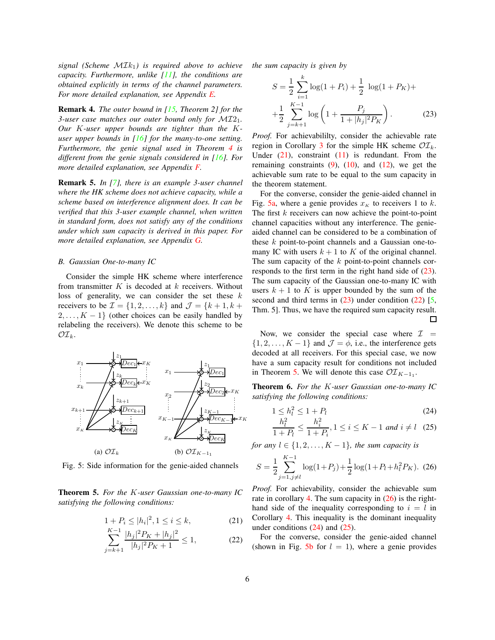*signal (Scheme* MIk1*) is required above to achieve capacity. Furthermore, unlike [\[11\]](#page-6-9), the conditions are obtained explicitly in terms of the channel parameters. For more detailed explanation, see Appendix [E.](#page-8-0)*

<span id="page-5-9"></span>Remark 4. *The outer bound in [\[15,](#page-6-13) Theorem 2] for the 3-user case matches our outer bound only for* MI21*. Our* K*-user upper bounds are tighter than the* K*user upper bounds in [\[16\]](#page-6-14) for the many-to-one setting. Furthermore, the genie signal used in Theorem [4](#page-3-6) is different from the genie signals considered in [\[16\]](#page-6-14). For more detailed explanation, see Appendix [F.](#page-8-1)*

<span id="page-5-10"></span>Remark 5. *In [\[7\]](#page-6-6), there is an example 3-user channel where the HK scheme does not achieve capacity, while a scheme based on interference alignment does. It can be verified that this 3-user example channel, when written in standard form, does not satisfy any of the conditions under which sum capacity is derived in this paper. For more detailed explanation, see Appendix [G.](#page-8-2)*

# *B. Gaussian One-to-many IC*

Consider the simple HK scheme where interference from transmitter  $K$  is decoded at  $k$  receivers. Without loss of generality, we can consider the set these  $k$ receivers to be  $\mathcal{I} = \{1, 2, \ldots, k\}$  and  $\mathcal{J} = \{k+1, k+1\}$  $2, \ldots, K-1$  (other choices can be easily handled by relabeling the receivers). We denote this scheme to be  $\mathcal{O} \mathcal{I}_k$ .

<span id="page-5-1"></span>

Fig. 5: Side information for the genie-aided channels

<span id="page-5-4"></span>Theorem 5. *For the* K*-user Gaussian one-to-many IC satisfying the following conditions:*

$$
1 + P_i \le |h_i|^2, 1 \le i \le k,
$$
\n(21)

$$
\sum_{j=k+1}^{K-1} \frac{|h_j|^2 P_K + |h_j|^2}{|h_j|^2 P_K + 1} \le 1,
$$
\n(22)

*the sum capacity is given by*

<span id="page-5-2"></span>
$$
S = \frac{1}{2} \sum_{i=1}^{k} \log(1 + P_i) + \frac{1}{2} \log(1 + P_K) +
$$

$$
+ \frac{1}{2} \sum_{j=k+1}^{K-1} \log\left(1 + \frac{P_j}{1 + |h_j|^2 P_K}\right).
$$
(23)

*Proof.* For achievabililty, consider the achievable rate region in Corollary [3](#page-2-3) for the simple HK scheme  $\mathcal{O} \mathcal{I}_k$ . Under  $(21)$ , constraint  $(11)$  is redundant. From the remaining constraints  $(9)$ ,  $(10)$ , and  $(12)$ , we get the achievable sum rate to be equal to the sum capacity in the theorem statement.

For the converse, consider the genie-aided channel in Fig. [5a,](#page-5-1) where a genie provides  $x_K$  to receivers 1 to k. The first  $k$  receivers can now achieve the point-to-point channel capacities without any interference. The genieaided channel can be considered to be a combination of these k point-to-point channels and a Gaussian one-tomany IC with users  $k + 1$  to K of the original channel. The sum capacity of the  $k$  point-to-point channels corresponds to the first term in the right hand side of [\(23\)](#page-5-2). The sum capacity of the Gaussian one-to-many IC with users  $k + 1$  to K is upper bounded by the sum of the second and third terms in  $(23)$  under condition  $(22)$  [\[5,](#page-6-1) Thm. 5]. Thus, we have the required sum capacity result.  $\Box$ 

Now, we consider the special case where  $\mathcal{I}$  =  $\{1, 2, \ldots, K - 1\}$  and  $\mathcal{J} = \phi$ , i.e., the interference gets decoded at all receivers. For this special case, we now have a sum capacity result for conditions not included in Theorem [5.](#page-5-4) We will denote this case  $\mathcal{O I}_{K-1}$ .

<span id="page-5-8"></span>Theorem 6. *For the* K*-user Gaussian one-to-many IC satisfying the following conditions:*

<span id="page-5-6"></span>
$$
1 \le h_l^2 \le 1 + P_l \tag{24}
$$

<span id="page-5-7"></span>
$$
\frac{h_l^2}{1+P_l} \le \frac{h_i^2}{1+P_i}, 1 \le i \le K-1 \text{ and } i \ne l \quad (25)
$$

*for any*  $l \in \{1, 2, \ldots, K - 1\}$ *, the sum capacity is* 

<span id="page-5-5"></span>
$$
S = \frac{1}{2} \sum_{j=1, j \neq l}^{K-1} \log(1 + P_j) + \frac{1}{2} \log(1 + P_l + h_l^2 P_K). \tag{26}
$$

*Proof.* For achievability, consider the achievable sum rate in corollary [4.](#page-2-8) The sum capacity in  $(26)$  is the righthand side of the inequality corresponding to  $i = l$  in Corollary [4.](#page-2-8) This inequality is the dominant inequality under conditions [\(24\)](#page-5-6) and [\(25\)](#page-5-7).

<span id="page-5-3"></span><span id="page-5-0"></span>For the converse, consider the genie-aided channel (shown in Fig. [5b](#page-5-1) for  $l = 1$ ), where a genie provides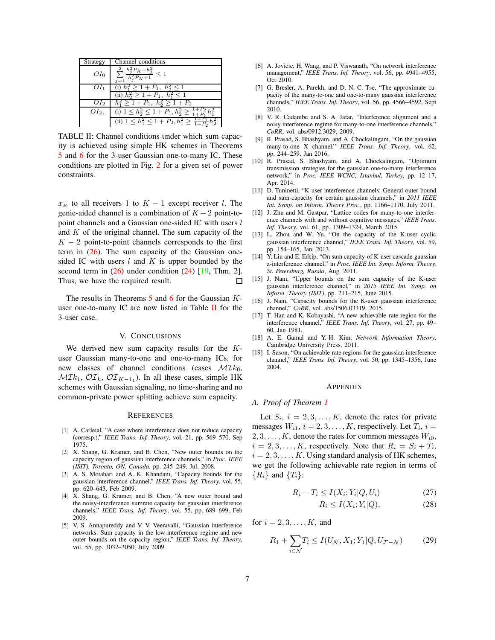<span id="page-6-19"></span>

| Strategy        | Channel conditions                                                                       |
|-----------------|------------------------------------------------------------------------------------------|
| $OI_0$          | $\sum\limits_{j=1}^{2}\frac{h_{j}^{2}\overline{P_{K}+h_{j}^{2}}}{h_{j}^{2}P_{K}+1}\leq1$ |
| $O_{11}$        | (i) $h_1^2 \geq 1 + P_1$ , $h_2^2 \leq 1$                                                |
|                 | (ii) $h_2^2 \geq 1 + P_1$ , $h_1^2 \leq 1$                                               |
| O <sub>12</sub> | $h_1^2 \geq 1 + P_1$ , $h_2^2 \geq 1 + P_2$                                              |
| $OI_{2_1}$      | (i) $1 \leq h_2^2 \leq 1 + P_1, h_2^2 \geq \frac{1+P_2}{1+P_1}h_1^2$                     |
|                 | (ii) $1 \leq h_1^2 \leq 1 + P_2, h_1^2 \geq \frac{1+P_1}{1+P_2}$                         |

TABLE II: Channel conditions under which sum capacity is achieved using simple HK schemes in Theorems [5](#page-5-4) and [6](#page-5-8) for the 3-user Gaussian one-to-many IC. These conditions are plotted in Fig. [2](#page-1-1) for a given set of power constraints.

 $x_K$  to all receivers 1 to  $K - 1$  except receiver l. The genie-aided channel is a combination of  $K - 2$  point-topoint channels and a Gaussian one-sided IC with users l and  $K$  of the original channel. The sum capacity of the  $K - 2$  point-to-point channels corresponds to the first term in [\(26\)](#page-5-5). The sum capacity of the Gaussian onesided IC with users  $l$  and  $K$  is upper bounded by the second term in  $(26)$  under condition  $(24)$  [\[19,](#page-6-18) Thm. 2]. Thus, we have the required result. П

The results in Theorems  $5$  and  $6$  for the Gaussian  $K$ user one-to-many IC are now listed in Table [II](#page-6-19) for the 3-user case.

#### V. CONCLUSIONS

We derived new sum capacity results for the Kuser Gaussian many-to-one and one-to-many ICs, for new classes of channel conditions (cases  $\mathcal{M I} k_0$ ,  $MLk_1$ ,  $OT_k$ ,  $OT_{K-1_1}$ ). In all these cases, simple HK schemes with Gaussian signaling, no time-sharing and no common-private power splitting achieve sum capacity.

#### **REFERENCES**

- <span id="page-6-0"></span>[1] A. Carleial, "A case where interference does not reduce capacity (corresp.)," *IEEE Trans. Inf. Theory*, vol. 21, pp. 569–570, Sep 1975.
- <span id="page-6-2"></span>[2] X. Shang, G. Kramer, and B. Chen, "New outer bounds on the capacity region of gaussian interference channels," in *Proc. IEEE (ISIT), Toronto, ON, Canada*, pp. 245–249, Jul. 2008.
- <span id="page-6-3"></span>[3] A. S. Motahari and A. K. Khandani, "Capacity bounds for the gaussian interference channel," *IEEE Trans. Inf. Theory*, vol. 55, pp. 620–643, Feb 2009.
- [4] X. Shang, G. Kramer, and B. Chen, "A new outer bound and the noisy-interference sumrate capacity for gaussian interference channels," *IEEE Trans. Inf. Theory*, vol. 55, pp. 689–699, Feb 2009.
- <span id="page-6-1"></span>[5] V. S. Annapureddy and V. V. Veeravalli, "Gaussian interference networks: Sum capacity in the low-interference regime and new outer bounds on the capacity region," *IEEE Trans. Inf. Theory*, vol. 55, pp. 3032–3050, July 2009.
- <span id="page-6-5"></span>[6] A. Jovicic, H. Wang, and P. Viswanath, "On network interference management," *IEEE Trans. Inf. Theory*, vol. 56, pp. 4941–4955, Oct 2010.
- <span id="page-6-6"></span>[7] G. Bresler, A. Parekh, and D. N. C. Tse, "The approximate capacity of the many-to-one and one-to-many gaussian interference channels," *IEEE Trans. Inf. Theory*, vol. 56, pp. 4566–4592, Sept 2010.
- <span id="page-6-7"></span>[8] V. R. Cadambe and S. A. Jafar, "Interference alignment and a noisy interference regime for many-to-one interference channels," *CoRR*, vol. abs/0912.3029, 2009.
- <span id="page-6-8"></span>[9] R. Prasad, S. Bhashyam, and A. Chockalingam, "On the gaussian many-to-one X channel," *IEEE Trans. Inf. Theory*, vol. 62, pp. 244–259, Jan 2016.
- <span id="page-6-4"></span>[10] R. Prasad, S. Bhashyam, and A. Chockalingam, "Optimum transmission strategies for the gaussian one-to-many interference network," in *Proc. IEEE WCNC, Istanbul, Turkey*, pp. 12–17, Apr. 2014.
- <span id="page-6-9"></span>[11] D. Tuninetti, "K-user interference channels: General outer bound and sum-capacity for certain gaussian channels," in *2011 IEEE Int. Symp. on Inform. Theory Proc.*, pp. 1166–1170, July 2011.
- <span id="page-6-10"></span>[12] J. Zhu and M. Gastpar, "Lattice codes for many-to-one interference channels with and without cognitive messages," *IEEE Trans. Inf. Theory*, vol. 61, pp. 1309–1324, March 2015.
- <span id="page-6-11"></span>[13] L. Zhou and W. Yu, "On the capacity of the K-user cyclic gaussian interference channel," *IEEE Trans. Inf. Theory*, vol. 59, pp. 154–165, Jan. 2013.
- <span id="page-6-12"></span>[14] Y. Liu and E. Erkip, "On sum capacity of K-user cascade gaussian z-interference channel," in *Proc. IEEE Int. Symp. Inform. Theory, St. Petersburg, Russia*, Aug. 2011.
- <span id="page-6-13"></span>[15] J. Nam, "Upper bounds on the sum capacity of the K-user gaussian interference channel," in *2015 IEEE Int. Symp. on Inform. Theory (ISIT)*, pp. 211–215, June 2015.
- <span id="page-6-14"></span>[16] J. Nam, "Capacity bounds for the K-user gaussian interference channel," *CoRR*, vol. abs/1506.03319, 2015.
- <span id="page-6-15"></span>[17] T. Han and K. Kobayashi, "A new achievable rate region for the interference channel," *IEEE Trans. Inf. Theory*, vol. 27, pp. 49– 60, Jan 1981.
- <span id="page-6-16"></span>[18] A. E. Gamal and Y.-H. Kim, *Network Information Theory*. Cambridge University Press, 2011.
- <span id="page-6-18"></span>[19] I. Sason, "On achievable rate regions for the gaussian interference channel," *IEEE Trans. Inf. Theory*, vol. 50, pp. 1345–1356, June 2004.

#### APPENDIX

#### <span id="page-6-17"></span>*A. Proof of Theorem [1](#page-2-9)*

Let  $S_i$ ,  $i = 2, 3, \ldots, K$ , denote the rates for private messages  $W_{i1}$ ,  $i = 2, 3, \dots, K$ , respectively. Let  $T_i$ ,  $i =$  $2, 3, \ldots, K$ , denote the rates for common messages  $W_{i0}$ ,  $i = 2, 3, \dots, K$ , respectively. Note that  $R_i = S_i + T_i$ ,  $i = 2, 3, \ldots, K$ . Using standard analysis of HK schemes, we get the following achievable rate region in terms of  ${R_i}$  and  ${T_i}$ :

$$
R_i - T_i \le I(X_i; Y_i | Q, U_i)
$$
\n<sup>(27)</sup>

$$
R_i \le I(X_i; Y_i | Q), \tag{28}
$$

for  $i = 2, 3, ..., K$ , and

$$
R_1 + \sum_{i \in \mathcal{N}} T_i \le I(U_{\mathcal{N}}, X_1; Y_1 | Q, U_{\mathcal{F} - \mathcal{N}}) \tag{29}
$$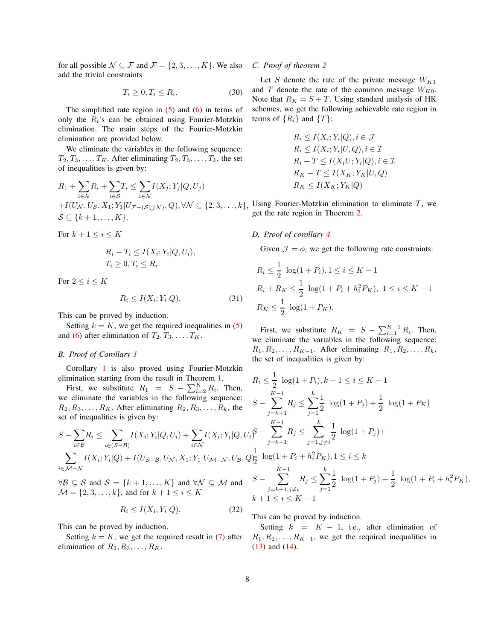for all possible  $\mathcal{N} \subseteq \mathcal{F}$  and  $\mathcal{F} = \{2, 3, ..., K\}$ . We also add the trivial constraints

$$
T_i \ge 0, T_i \le R_i. \tag{30}
$$

The simplified rate region in  $(5)$  and  $(6)$  in terms of only the  $R_i$ 's can be obtained using Fourier-Motzkin elimination. The main steps of the Fourier-Motzkin elimination are provided below.

We eliminate the variables in the following sequence:  $T_2, T_3, \ldots, T_K$ . After eliminating  $T_2, T_3, \ldots, T_k$ , the set of inequalities is given by:

$$
R_1 + \sum_{i \in \mathcal{N}} R_i + \sum_{i \in \mathcal{S}} T_i \le \sum_{i \in \mathcal{N}} I(X_j; Y_j | Q, U_j)
$$
  
+ $I(U_\mathcal{N}, U_\mathcal{S}, X_1; Y_1 | U_{\mathcal{F}-(\mathcal{S} \cup \mathcal{N})}, Q), \forall \mathcal{N} \subseteq \{2, 3, \dots, k\},$   
 $S \subseteq \{k+1, \dots, K\}.$ 

For  $k + 1 \leq i \leq K$ 

$$
R_i - T_i \le I(X_i; Y_i | Q, U_i),
$$
  

$$
T_i \ge 0, T_i \le R_i.
$$

For  $2 \leq i \leq K$ 

$$
R_i \le I(X_i; Y_i | Q). \tag{31}
$$

This can be proved by induction.

Setting  $k = K$ , we get the required inequalities in [\(5\)](#page-2-10) and [\(6\)](#page-2-11) after elimination of  $T_2, T_3, \ldots, T_K$ .

# <span id="page-7-0"></span>*B. Proof of Corollary [1](#page-2-0)*

Corollary [1](#page-2-0) is also proved using Fourier-Motzkin elimination starting from the result in Theorem [1.](#page-2-9)

First, we substitute  $R_1 = S - \sum_{i=2}^{K} R_i$ . Then, we eliminate the variables in the following sequence:  $R_2, R_3, \ldots, R_K$ . After eliminating  $R_2, R_3, \ldots, R_k$ , the set of inequalities is given by:

$$
S - \sum_{i \in \mathcal{B}} R_i \le \sum_{i \in (\mathcal{S} - \mathcal{B})} I(X_i; Y_i | Q, U_i) + \sum_{i \in \mathcal{N}} I(X_i; Y_i | Q, U_i)^{\mathcal{S}} - \sum_{j = k+1} R_j \le \sum_{j = 1, j \ne i} \frac{1}{2} \log(1)
$$
  

$$
\sum_{i \in \mathcal{M} - \mathcal{N}} I(X_i; Y_i | Q) + I(U_{\mathcal{S} - \mathcal{B}}, U_{\mathcal{N}}, X_1; Y_1 | U_{\mathcal{M} - \mathcal{N}}, U_{\mathcal{B}}, Q) \le \log(1 + P_i + h_i^2 P_K), 1 \le i \le k
$$

 $\forall \mathcal{B} \subseteq \mathcal{S}$  and  $\mathcal{S} = \{k+1, \ldots, K\}$  and  $\forall \mathcal{N} \subseteq \mathcal{M}$  and  $\mathcal{M} = \{2, 3, ..., k\}$ , and for  $k + 1 \le i \le K$ 

$$
R_i \le I(X_i; Y_i|Q). \tag{32}
$$

This can be proved by induction.

Setting  $k = K$ , we get the required result in [\(7\)](#page-2-12) after elimination of  $R_2, R_3, \ldots, R_K$ .

# <span id="page-7-1"></span>*C. Proof of theorem [2](#page-2-1)*

Let S denote the rate of the private message  $W_{K1}$ and T denote the rate of the common message  $W_{K0}$ . Note that  $R_K = S + T$ . Using standard analysis of HK schemes, we get the following achievable rate region in terms of  $\{R_i\}$  and  $\{T\}$ :

$$
R_i \leq I(X_i; Y_i|Q), i \in \mathcal{J}
$$
  
\n
$$
R_i \leq I(X_i; Y_i|U, Q), i \in \mathcal{I}
$$
  
\n
$$
R_i + T \leq I(X_iU; Y_i|Q), i \in \mathcal{I}
$$
  
\n
$$
R_K - T \leq I(X_K; Y_K|U, Q)
$$
  
\n
$$
R_K \leq I(X_K; Y_K|Q)
$$

 $\sum$  Using Fourier-Motzkin elimination to eliminate T, we get the rate region in Thoerem [2.](#page-2-1)

# <span id="page-7-2"></span>*D. Proof of corollary [4](#page-2-8)*

1

Given  $\mathcal{J} = \phi$ , we get the following rate constraints:

$$
R_i \le \frac{1}{2} \log(1 + P_i), 1 \le i \le K - 1
$$
  
\n
$$
R_i + R_K \le \frac{1}{2} \log(1 + P_i + h_i^2 P_K), 1 \le i \le K - 1
$$
  
\n
$$
R_K \le \frac{1}{2} \log(1 + P_K).
$$

First, we substitute  $R_K = S - \sum_{i=1}^{K-1} R_i$ . Then, we eliminate the variables in the following sequence:  $R_1, R_2, \ldots, R_{K-1}$ . After eliminating  $R_1, R_2, \ldots, R_k$ , the set of inequalities is given by:

$$
R_i \leq \frac{1}{2} \log(1 + P_i), k + 1 \leq i \leq K - 1
$$
  
\n
$$
S - \sum_{j=k+1}^{K-1} R_j \leq \sum_{j=1}^{k} \frac{1}{2} \log(1 + P_j) + \frac{1}{2} \log(1 + P_K)
$$
  
\n
$$
{}_{i}S - \sum_{j=k+1}^{K-1} R_j \leq \sum_{j=1, j\neq i}^{k} \frac{1}{2} \log(1 + P_j) +
$$
  
\n
$$
{}_{j}S - \sum_{j=k+1, j\neq i}^{K-1} R_j \leq \sum_{j=1}^{k} \frac{1}{2} \log(1 + P_j) + \frac{1}{2} \log(1 + P_i + h_i^2 P_K),
$$

$$
k+1 \le i \le K-1
$$

This can be proved by induction.

Setting  $k = K - 1$ , i.e., after elimination of  $R_1, R_2, \ldots, R_{K-1}$ , we get the required inequalities in [\(13\)](#page-2-13) and [\(14\)](#page-3-8).